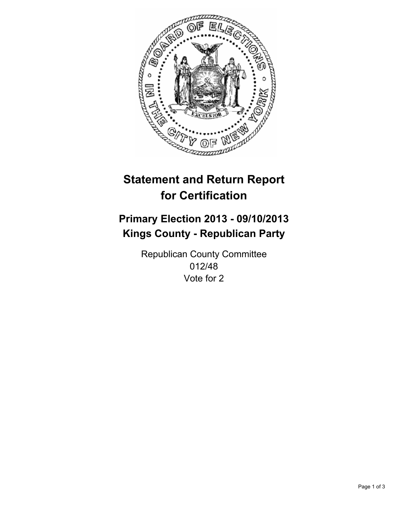

# **Statement and Return Report for Certification**

# **Primary Election 2013 - 09/10/2013 Kings County - Republican Party**

Republican County Committee 012/48 Vote for 2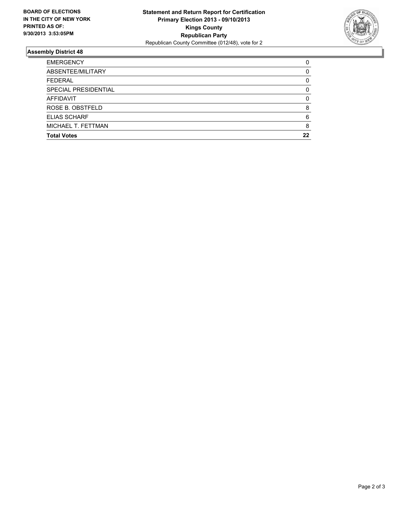

## **Assembly District 48**

| <b>EMERGENCY</b>     | 0  |
|----------------------|----|
| ABSENTEE/MILITARY    | 0  |
| <b>FEDERAL</b>       | 0  |
| SPECIAL PRESIDENTIAL | 0  |
| <b>AFFIDAVIT</b>     | 0  |
| ROSE B. OBSTFELD     | 8  |
| <b>ELIAS SCHARF</b>  | 6  |
| MICHAEL T. FETTMAN   | 8  |
| <b>Total Votes</b>   | 22 |